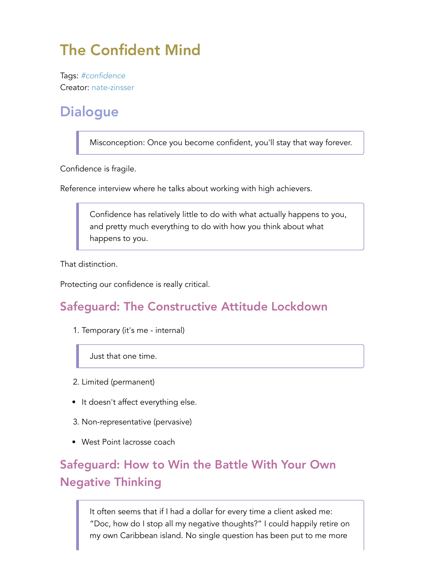# The Confident Mind

Tags: *#confidence* Creator: nate-zinsser

### **Dialogue**

Misconception: Once you become confident, you'll stay that way forever.

Confidence is fragile.

Reference interview where he talks about working with high achievers.

Confidence has relatively little to do with what actually happens to you, and pretty much everything to do with how you think about what happens to you.

That distinction.

Protecting our confidence is really critical.

#### Safeguard: The Constructive Attitude Lockdown

1. Temporary (it's me - internal)

Just that one time.

- 2. Limited (permanent)
- It doesn't affect everything else.
- 3. Non-representative (pervasive)
- West Point lacrosse coach

## Safeguard: How to Win the Battle With Your Own Negative Thinking

It often seems that if I had a dollar for every time a client asked me: "Doc, how do I stop all my negative thoughts?" I could happily retire on my own Caribbean island. No single question has been put to me more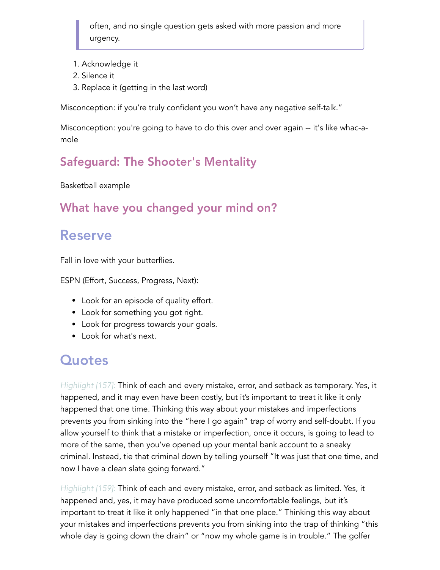often, and no single question gets asked with more passion and more urgency.

- 1. Acknowledge it
- 2. Silence it
- 3. Replace it (getting in the last word)

Misconception: if you're truly confident you won't have any negative self-talk."

Misconception: you're going to have to do this over and over again -- it's like whac-amole

#### Safeguard: The Shooter's Mentality

Basketball example

#### What have you changed your mind on?

#### Reserve

Fall in love with your butterflies.

ESPN (Effort, Success, Progress, Next):

- Look for an episode of quality effort.
- Look for something you got right.
- Look for progress towards your goals.
- Look for what's next.

### **Quotes**

*Highlight [157]:* Think of each and every mistake, error, and setback as temporary. Yes, it happened, and it may even have been costly, but it's important to treat it like it only happened that one time. Thinking this way about your mistakes and imperfections prevents you from sinking into the "here I go again" trap of worry and self-doubt. If you allow yourself to think that a mistake or imperfection, once it occurs, is going to lead to more of the same, then you've opened up your mental bank account to a sneaky criminal. Instead, tie that criminal down by telling yourself "It was just that one time, and now I have a clean slate going forward."

*Highlight [159]:* Think of each and every mistake, error, and setback as limited. Yes, it happened and, yes, it may have produced some uncomfortable feelings, but it's important to treat it like it only happened "in that one place." Thinking this way about your mistakes and imperfections prevents you from sinking into the trap of thinking "this whole day is going down the drain" or "now my whole game is in trouble." The golfer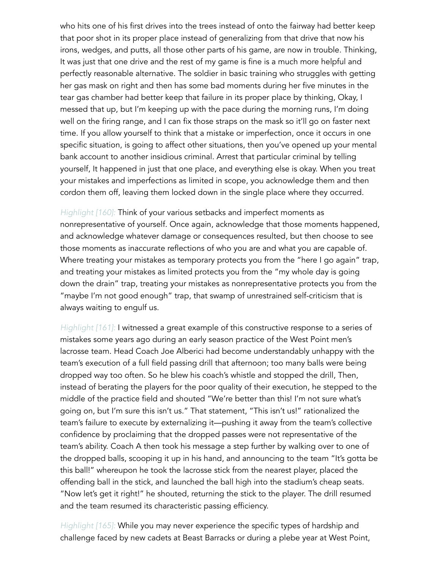who hits one of his first drives into the trees instead of onto the fairway had better keep that poor shot in its proper place instead of generalizing from that drive that now his irons, wedges, and putts, all those other parts of his game, are now in trouble. Thinking, It was just that one drive and the rest of my game is fine is a much more helpful and perfectly reasonable alternative. The soldier in basic training who struggles with getting her gas mask on right and then has some bad moments during her five minutes in the tear gas chamber had better keep that failure in its proper place by thinking, Okay, I messed that up, but I'm keeping up with the pace during the morning runs, I'm doing well on the firing range, and I can fix those straps on the mask so it'll go on faster next time. If you allow yourself to think that a mistake or imperfection, once it occurs in one specific situation, is going to affect other situations, then you've opened up your mental bank account to another insidious criminal. Arrest that particular criminal by telling yourself, It happened in just that one place, and everything else is okay. When you treat your mistakes and imperfections as limited in scope, you acknowledge them and then cordon them off, leaving them locked down in the single place where they occurred.

*Highlight [160]:* Think of your various setbacks and imperfect moments as nonrepresentative of yourself. Once again, acknowledge that those moments happened, and acknowledge whatever damage or consequences resulted, but then choose to see those moments as inaccurate reflections of who you are and what you are capable of. Where treating your mistakes as temporary protects you from the "here I go again" trap, and treating your mistakes as limited protects you from the "my whole day is going down the drain" trap, treating your mistakes as nonrepresentative protects you from the "maybe I'm not good enough" trap, that swamp of unrestrained self-criticism that is always waiting to engulf us.

*Highlight [161]:* I witnessed a great example of this constructive response to a series of mistakes some years ago during an early season practice of the West Point men's lacrosse team. Head Coach Joe Alberici had become understandably unhappy with the team's execution of a full field passing drill that afternoon; too many balls were being dropped way too often. So he blew his coach's whistle and stopped the drill, Then, instead of berating the players for the poor quality of their execution, he stepped to the middle of the practice field and shouted "We're better than this! I'm not sure what's going on, but I'm sure this isn't us." That statement, "This isn't us!" rationalized the team's failure to execute by externalizing it—pushing it away from the team's collective confidence by proclaiming that the dropped passes were not representative of the team's ability. Coach A then took his message a step further by walking over to one of the dropped balls, scooping it up in his hand, and announcing to the team "It's gotta be this ball!" whereupon he took the lacrosse stick from the nearest player, placed the offending ball in the stick, and launched the ball high into the stadium's cheap seats. "Now let's get it right!" he shouted, returning the stick to the player. The drill resumed and the team resumed its characteristic passing efficiency.

*Highlight [165]:* While you may never experience the specific types of hardship and challenge faced by new cadets at Beast Barracks or during a plebe year at West Point,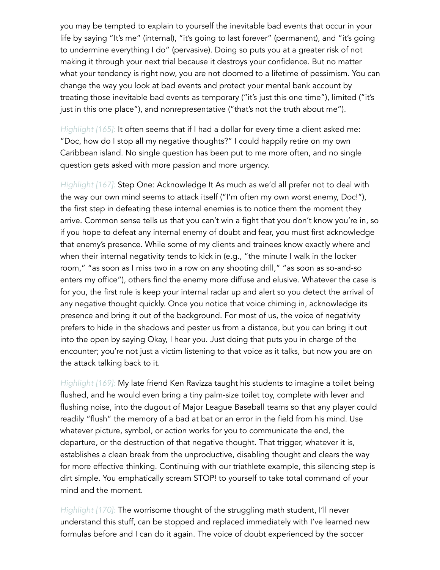you may be tempted to explain to yourself the inevitable bad events that occur in your life by saying "It's me" (internal), "it's going to last forever" (permanent), and "it's going to undermine everything I do" (pervasive). Doing so puts you at a greater risk of not making it through your next trial because it destroys your confidence. But no matter what your tendency is right now, you are not doomed to a lifetime of pessimism. You can change the way you look at bad events and protect your mental bank account by treating those inevitable bad events as temporary ("it's just this one time"), limited ("it's just in this one place"), and nonrepresentative ("that's not the truth about me").

*Highlight [165]:* It often seems that if I had a dollar for every time a client asked me: "Doc, how do I stop all my negative thoughts?" I could happily retire on my own Caribbean island. No single question has been put to me more often, and no single question gets asked with more passion and more urgency.

*Highlight [167]:* Step One: Acknowledge It As much as we'd all prefer not to deal with the way our own mind seems to attack itself ("I'm often my own worst enemy, Doc!"), the first step in defeating these internal enemies is to notice them the moment they arrive. Common sense tells us that you can't win a fight that you don't know you're in, so if you hope to defeat any internal enemy of doubt and fear, you must first acknowledge that enemy's presence. While some of my clients and trainees know exactly where and when their internal negativity tends to kick in (e.g., "the minute I walk in the locker room," "as soon as I miss two in a row on any shooting drill," "as soon as so-and-so enters my office"), others find the enemy more diffuse and elusive. Whatever the case is for you, the first rule is keep your internal radar up and alert so you detect the arrival of any negative thought quickly. Once you notice that voice chiming in, acknowledge its presence and bring it out of the background. For most of us, the voice of negativity prefers to hide in the shadows and pester us from a distance, but you can bring it out into the open by saying Okay, I hear you. Just doing that puts you in charge of the encounter; you're not just a victim listening to that voice as it talks, but now you are on the attack talking back to it.

*Highlight [169]:* My late friend Ken Ravizza taught his students to imagine a toilet being flushed, and he would even bring a tiny palm-size toilet toy, complete with lever and flushing noise, into the dugout of Major League Baseball teams so that any player could readily "flush" the memory of a bad at bat or an error in the field from his mind. Use whatever picture, symbol, or action works for you to communicate the end, the departure, or the destruction of that negative thought. That trigger, whatever it is, establishes a clean break from the unproductive, disabling thought and clears the way for more effective thinking. Continuing with our triathlete example, this silencing step is dirt simple. You emphatically scream STOP! to yourself to take total command of your mind and the moment.

*Highlight [170]:* The worrisome thought of the struggling math student, I'll never understand this stuff, can be stopped and replaced immediately with I've learned new formulas before and I can do it again. The voice of doubt experienced by the soccer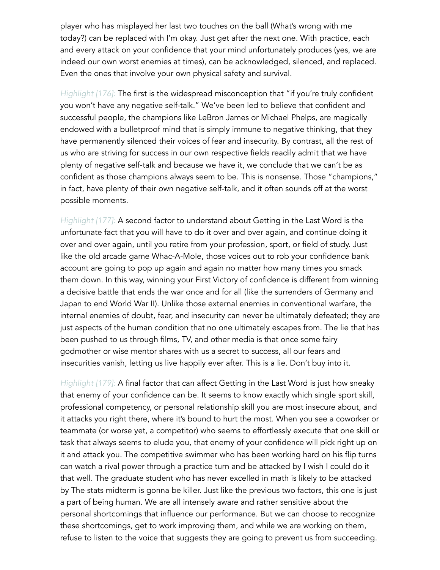player who has misplayed her last two touches on the ball (What's wrong with me today?) can be replaced with I'm okay. Just get after the next one. With practice, each and every attack on your confidence that your mind unfortunately produces (yes, we are indeed our own worst enemies at times), can be acknowledged, silenced, and replaced. Even the ones that involve your own physical safety and survival.

*Highlight [176]:* The first is the widespread misconception that "if you're truly confident you won't have any negative self-talk." We've been led to believe that confident and successful people, the champions like LeBron James or Michael Phelps, are magically endowed with a bulletproof mind that is simply immune to negative thinking, that they have permanently silenced their voices of fear and insecurity. By contrast, all the rest of us who are striving for success in our own respective fields readily admit that we have plenty of negative self-talk and because we have it, we conclude that we can't be as confident as those champions always seem to be. This is nonsense. Those "champions," in fact, have plenty of their own negative self-talk, and it often sounds off at the worst possible moments.

*Highlight [177]:* A second factor to understand about Getting in the Last Word is the unfortunate fact that you will have to do it over and over again, and continue doing it over and over again, until you retire from your profession, sport, or field of study. Just like the old arcade game Whac-A-Mole, those voices out to rob your confidence bank account are going to pop up again and again no matter how many times you smack them down. In this way, winning your First Victory of confidence is different from winning a decisive battle that ends the war once and for all (like the surrenders of Germany and Japan to end World War II). Unlike those external enemies in conventional warfare, the internal enemies of doubt, fear, and insecurity can never be ultimately defeated; they are just aspects of the human condition that no one ultimately escapes from. The lie that has been pushed to us through films, TV, and other media is that once some fairy godmother or wise mentor shares with us a secret to success, all our fears and insecurities vanish, letting us live happily ever after. This is a lie. Don't buy into it.

*Highlight [179]:* A final factor that can affect Getting in the Last Word is just how sneaky that enemy of your confidence can be. It seems to know exactly which single sport skill, professional competency, or personal relationship skill you are most insecure about, and it attacks you right there, where it's bound to hurt the most. When you see a coworker or teammate (or worse yet, a competitor) who seems to effortlessly execute that one skill or task that always seems to elude you, that enemy of your confidence will pick right up on it and attack you. The competitive swimmer who has been working hard on his flip turns can watch a rival power through a practice turn and be attacked by I wish I could do it that well. The graduate student who has never excelled in math is likely to be attacked by The stats midterm is gonna be killer. Just like the previous two factors, this one is just a part of being human. We are all intensely aware and rather sensitive about the personal shortcomings that influence our performance. But we can choose to recognize these shortcomings, get to work improving them, and while we are working on them, refuse to listen to the voice that suggests they are going to prevent us from succeeding.